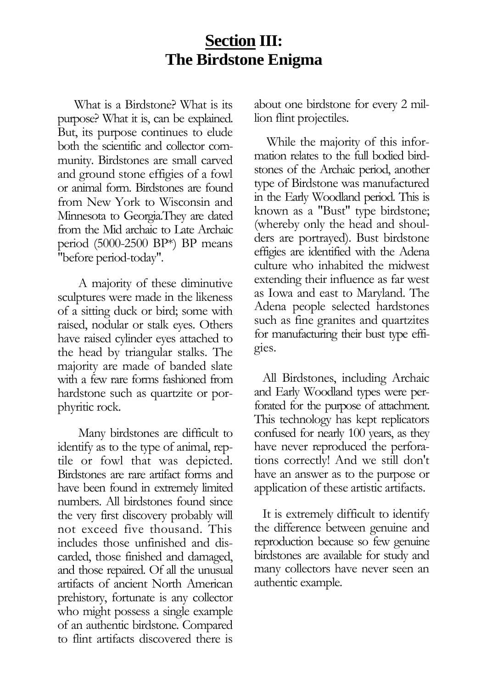### **Section III: The Birdstone Enigma**

What is a Birdstone? What is its purpose? What it is, can be explained. But, its purpose continues to elude both the scientific and collector community. Birdstones are small carved and ground stone effigies of a fowl or animal form. Birdstones are found from New York to Wisconsin and Minnesota to Georgia.They are dated from the Mid archaic to Late Archaic period (5000-2500 BP\*) BP means "before period-today".

A majority of these diminutive sculptures were made in the likeness of a sitting duck or bird; some with raised, nodular or stalk eyes. Others have raised cylinder eyes attached to the head by triangular stalks. The majority are made of banded slate with a few rare forms fashioned from hardstone such as quartzite or porphyritic rock.

Many birdstones are difficult to identify as to the type of animal, reptile or fowl that was depicted. Birdstones are rare artifact forms and have been found in extremely limited numbers. All birdstones found since the very first discovery probably will not exceed five thousand. This includes those unfinished and discarded, those finished and damaged, and those repaired. Of all the unusual artifacts of ancient North American prehistory, fortunate is any collector who might possess a single example of an authentic birdstone. Compared to flint artifacts discovered there is

about one birdstone for every 2 million flint projectiles.

While the majority of this information relates to the full bodied birdstones of the Archaic period, another type of Birdstone was manufactured in the Early Woodland period. This is known as a "Bust" type birdstone; (whereby only the head and shoulders are portrayed). Bust birdstone effigies are identified with the Adena culture who inhabited the midwest extending their influence as far west as Iowa and east to Maryland. The Adena people selected hardstones such as fine granites and quartzites for manufacturing their bust type effigies.

All Birdstones, including Archaic and Early Woodland types were perforated for the purpose of attachment. This technology has kept replicators confused for nearly 100 years, as they have never reproduced the perforations correctly! And we still don't have an answer as to the purpose or application of these artistic artifacts.

It is extremely difficult to identify the difference between genuine and reproduction because so few genuine birdstones are available for study and many collectors have never seen an authentic example.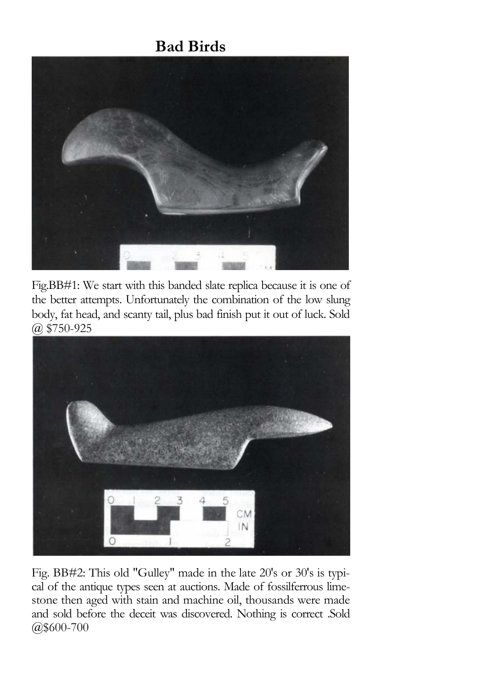

Fig.BB#1: We start with this banded slate replica because it is one of the better attempts. Unfortunately the combination of the low slung body, fat head, and scanty tail, plus bad finish put it out of luck. Sold @ \$750-925



Fig. BB#2: This old "Gulley" made in the late 20's or 30's is typical of the antique types seen at auctions. Made of fossilferrous limestone then aged with stain and machine oil, thousands were made and sold before the deceit was discovered. Nothing is correct .Sold @\$600-700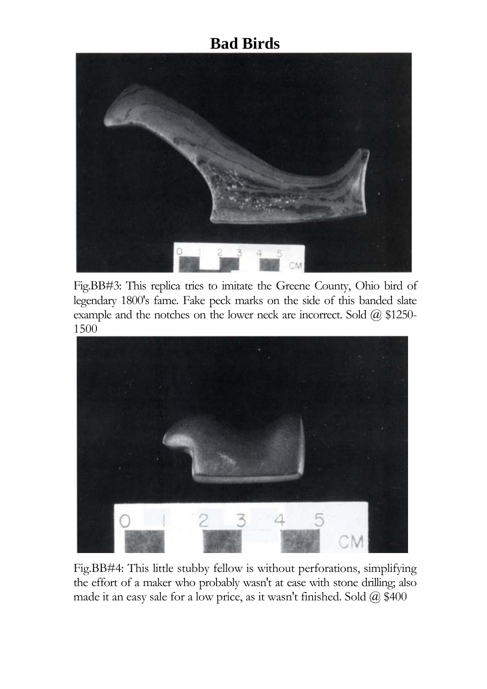

Fig.BB#3: This replica tries to imitate the Greene County, Ohio bird of legendary 1800's fame. Fake peck marks on the side of this banded slate example and the notches on the lower neck are incorrect. Sold  $(a)$  \$1250-1500



Fig.BB#4: This little stubby fellow is without perforations, simplifying the effort of a maker who probably wasn't at ease with stone drilling; also made it an easy sale for a low price, as it wasn't finished. Sold  $\omega$  \$400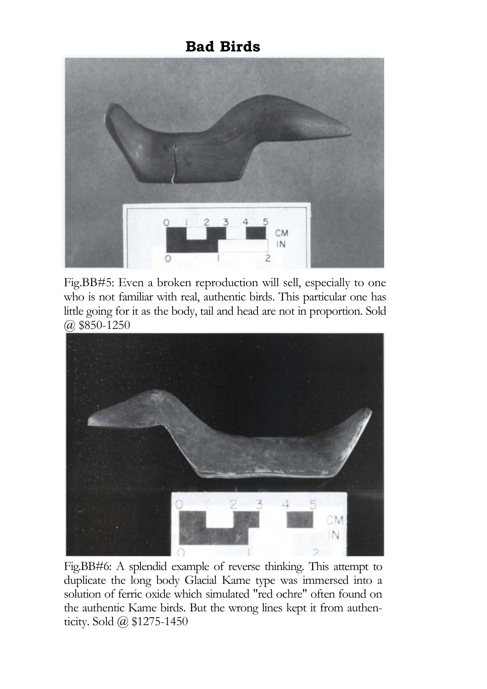

Fig.BB#5: Even a broken reproduction will sell, especially to one who is not familiar with real, authentic birds. This particular one has little going for it as the body, tail and head are not in proportion. Sold @ \$850-1250



Fig.BB#6: A splendid example of reverse thinking. This attempt to duplicate the long body Glacial Kame type was immersed into a solution of ferric oxide which simulated "red ochre" often found on the authentic Kame birds. But the wrong lines kept it from authenticity. Sold @ \$1275-1450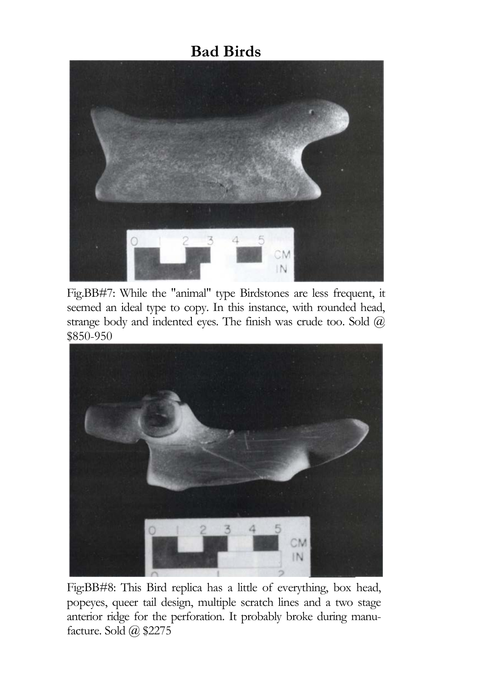

Fig.BB#7: While the "animal" type Birdstones are less frequent, it seemed an ideal type to copy. In this instance, with rounded head, strange body and indented eyes. The finish was crude too. Sold  $\omega$ \$850-950



Fig:BB#8: This Bird replica has a little of everything, box head, popeyes, queer tail design, multiple scratch lines and a two stage anterior ridge for the perforation. It probably broke during manufacture. Sold @ \$2275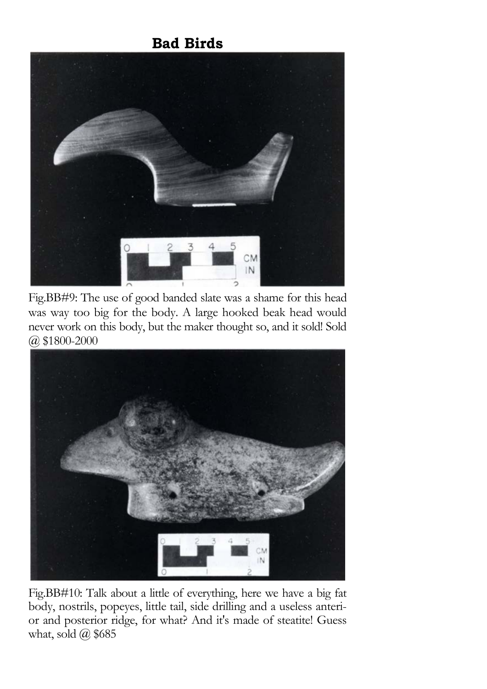

Fig.BB#9: The use of good banded slate was a shame for this head was way too big for the body. A large hooked beak head would never work on this body, but the maker thought so, and it sold! Sold @ \$1800-2000



Fig.BB#10: Talk about a little of everything, here we have a big fat body, nostrils, popeyes, little tail, side drilling and a useless anterior and posterior ridge, for what? And it's made of steatite! Guess what, sold  $\omega$  \$685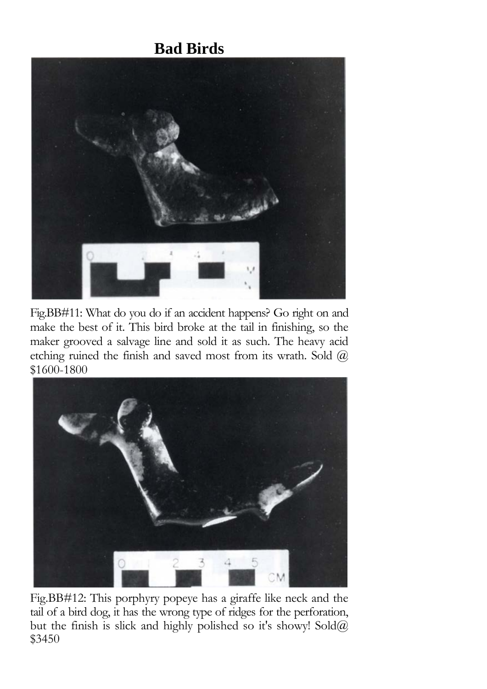

Fig.BB#11: What do you do if an accident happens? Go right on and make the best of it. This bird broke at the tail in finishing, so the maker grooved a salvage line and sold it as such. The heavy acid etching ruined the finish and saved most from its wrath. Sold  $\omega$ \$1600-1800



Fig.BB#12: This porphyry popeye has a giraffe like neck and the tail of a bird dog, it has the wrong type of ridges for the perforation, but the finish is slick and highly polished so it's showy! Sold@ \$3450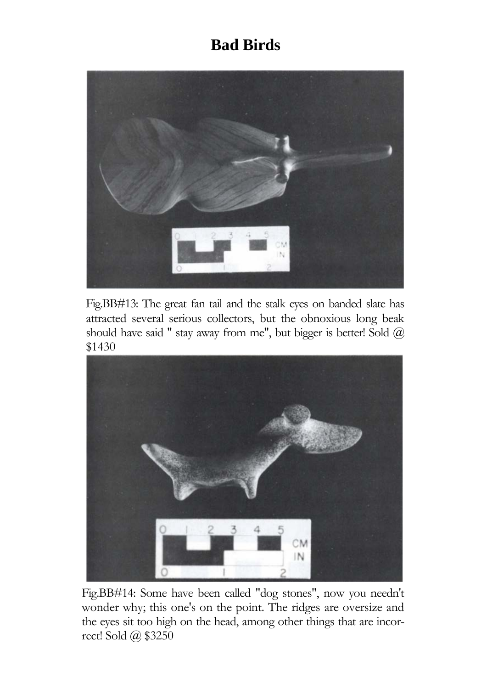

Fig.BB#13: The great fan tail and the stalk eyes on banded slate has attracted several serious collectors, but the obnoxious long beak should have said " stay away from me", but bigger is better! Sold  $(a)$ \$1430



Fig.BB#14: Some have been called "dog stones", now you needn't wonder why; this one's on the point. The ridges are oversize and the eyes sit too high on the head, among other things that are incorrect! Sold @ \$3250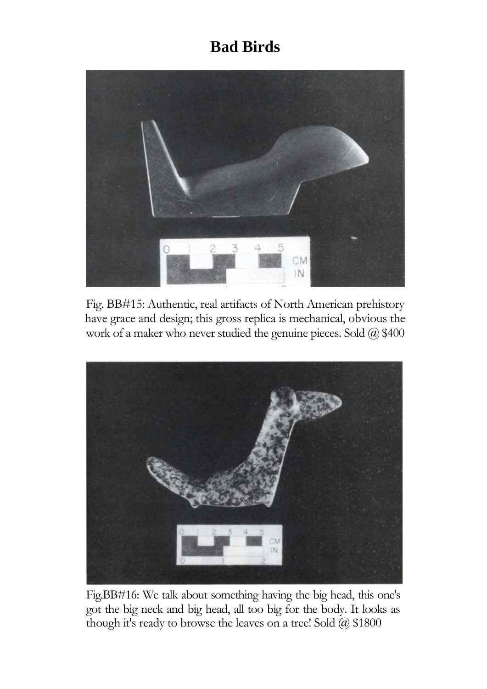

Fig. BB#15: Authentic, real artifacts of North American prehistory have grace and design; this gross replica is mechanical, obvious the work of a maker who never studied the genuine pieces. Sold @ \$400



Fig.BB#16: We talk about something having the big head, this one's got the big neck and big head, all too big for the body. It looks as though it's ready to browse the leaves on a tree! Sold @ \$1800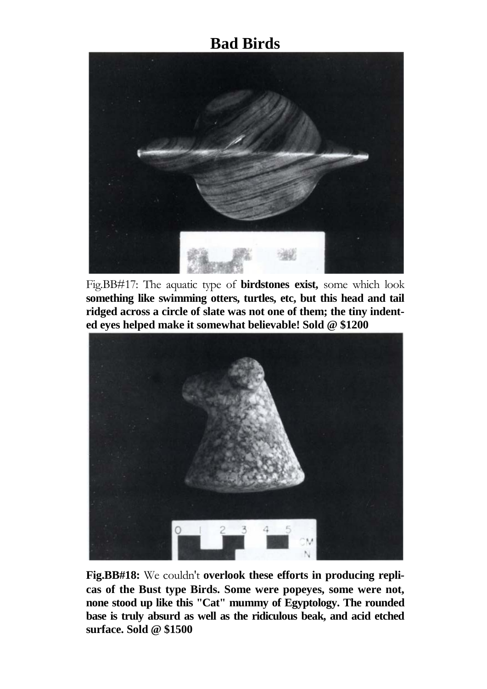

Fig.BB#17: The aquatic type of **birdstones exist,** some which look **something like swimming otters, turtles, etc, but this head and tail ridged across a circle of slate was not one of them; the tiny indented eyes helped make it somewhat believable! Sold @ \$1200**



**Fig.BB#18:** We couldn't **overlook these efforts in producing replicas of the Bust type Birds. Some were popeyes, some were not, none stood up like this "Cat" mummy of Egyptology. The rounded base is truly absurd as well as the ridiculous beak, and acid etched surface. Sold @ \$1500**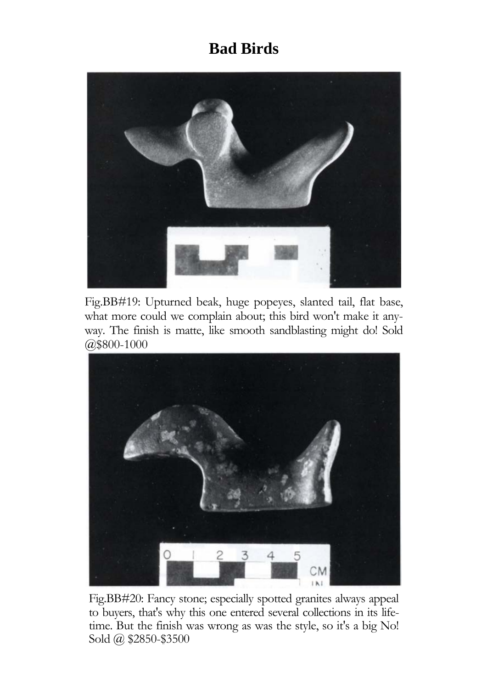

Fig.BB#19: Upturned beak, huge popeyes, slanted tail, flat base, what more could we complain about; this bird won't make it anyway. The finish is matte, like smooth sandblasting might do! Sold @\$800-1000



Fig.BB#20: Fancy stone; especially spotted granites always appeal to buyers, that's why this one entered several collections in its lifetime. But the finish was wrong as was the style, so it's a big No! Sold @ \$2850-\$3500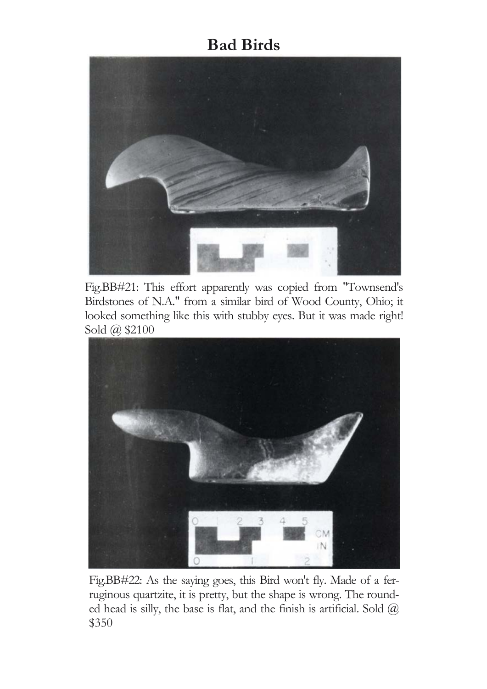

Fig.BB#21: This effort apparently was copied from "Townsend's Birdstones of N.A." from a similar bird of Wood County, Ohio; it looked something like this with stubby eyes. But it was made right! Sold @ \$2100



Fig.BB#22: As the saying goes, this Bird won't fly. Made of a ferruginous quartzite, it is pretty, but the shape is wrong. The rounded head is silly, the base is flat, and the finish is artificial. Sold  $@$ \$350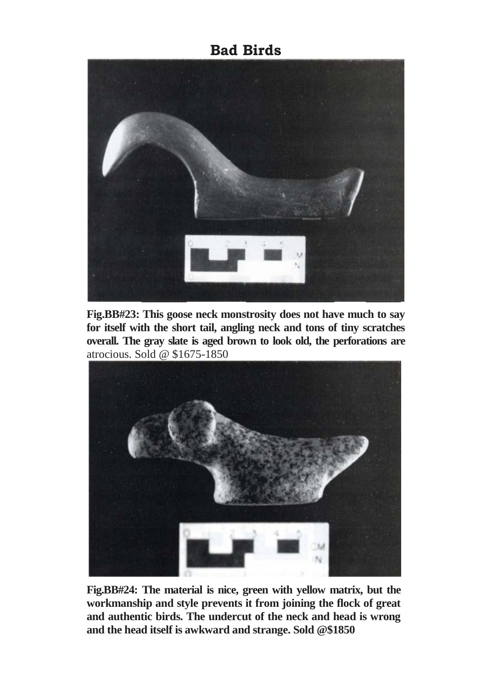

**Fig.BB#23: This goose neck monstrosity does not have much to say for itself with the short tail, angling neck and tons of tiny scratches overall. The gray slate is aged brown to look old, the perforations are**  atrocious. Sold @ \$1675-1850



**Fig.BB#24: The material is nice, green with yellow matrix, but the workmanship and style prevents it from joining the flock of great and authentic birds. The undercut of the neck and head is wrong and the head itself is awkward and strange. Sold @\$1850**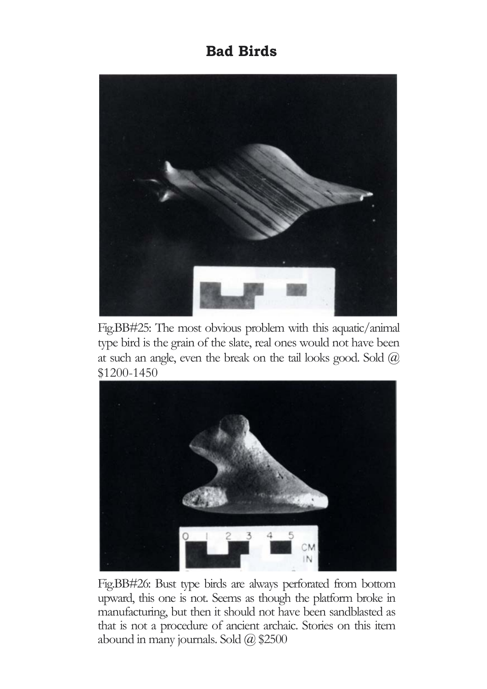

Fig.BB#25: The most obvious problem with this aquatic/animal type bird is the grain of the slate, real ones would not have been at such an angle, even the break on the tail looks good. Sold  $(a)$ \$1200-1450



Fig.BB#26: Bust type birds are always perforated from bottom upward, this one is not. Seems as though the platform broke in manufacturing, but then it should not have been sandblasted as that is not a procedure of ancient archaic. Stories on this item abound in many journals. Sold @ \$2500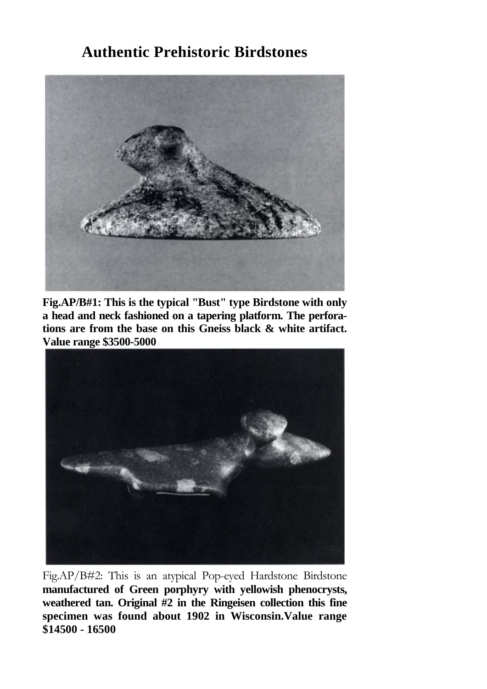

**Fig.AP/B#1: This is the typical "Bust" type Birdstone with only a head and neck fashioned on a tapering platform. The perforations are from the base on this Gneiss black & white artifact. Value range \$3500-5000**



Fig.AP/B#2: This is an atypical Pop-eyed Hardstone Birdstone **manufactured of Green porphyry with yellowish phenocrysts, weathered tan. Original #2 in the Ringeisen collection this fine specimen was found about 1902 in Wisconsin.Value range \$14500 - 16500**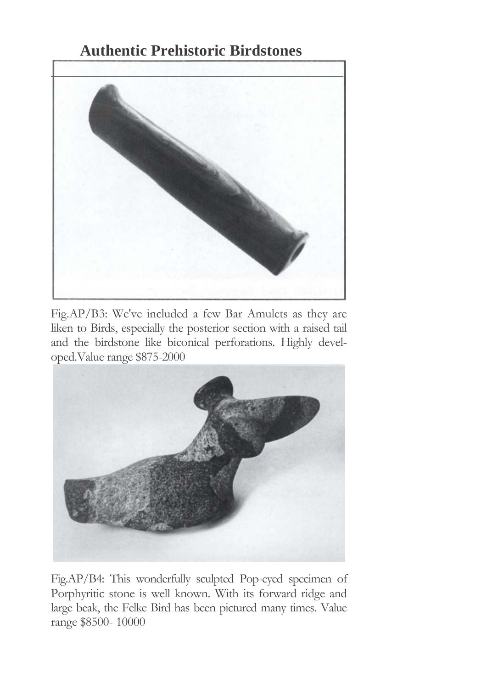

Fig.AP/B3: We've included a few Bar Amulets as they are liken to Birds, especially the posterior section with a raised tail and the birdstone like biconical perforations. Highly developed.Value range \$875-2000



Fig.AP/B4: This wonderfully sculpted Pop-eyed specimen of Porphyritic stone is well known. With its forward ridge and large beak, the Felke Bird has been pictured many times. Value range \$8500- 10000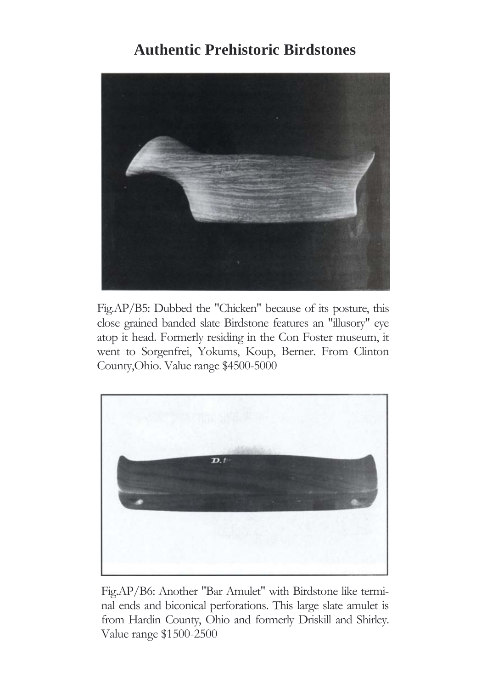

Fig.AP/B5: Dubbed the "Chicken" because of its posture, this close grained banded slate Birdstone features an "illusory" eye atop it head. Formerly residing in the Con Foster museum, it went to Sorgenfrei, Yokums, Koup, Berner. From Clinton County,Ohio. Value range \$4500-5000



Fig.AP/B6: Another "Bar Amulet" with Birdstone like terminal ends and biconical perforations. This large slate amulet is from Hardin County, Ohio and formerly Driskill and Shirley. Value range \$1500-2500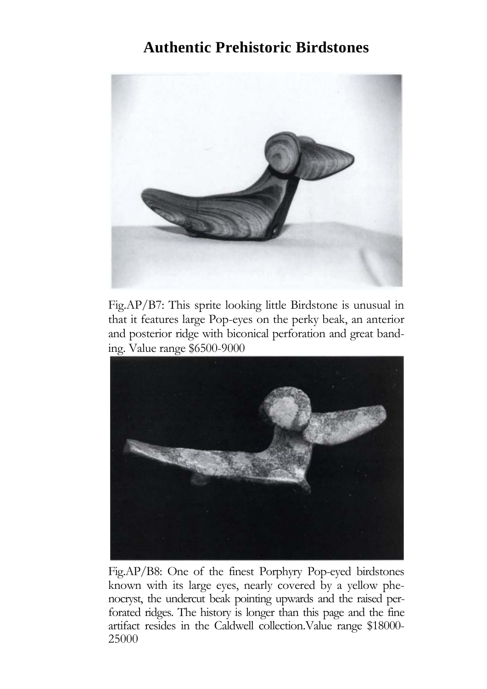

Fig.AP/B7: This sprite looking little Birdstone is unusual in that it features large Pop-eyes on the perky beak, an anterior and posterior ridge with biconical perforation and great banding. Value range \$6500-9000



Fig.AP/B8: One of the finest Porphyry Pop-eyed birdstones known with its large eyes, nearly covered by a yellow phenocryst, the undercut beak pointing upwards and the raised perforated ridges. The history is longer than this page and the fine artifact resides in the Caldwell collection.Value range \$18000- 25000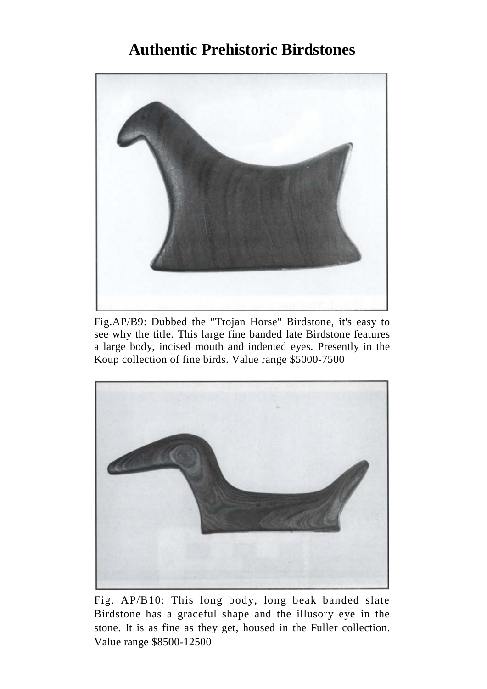

Fig.AP/B9: Dubbed the "Trojan Horse" Birdstone, it's easy to see why the title. This large fine banded late Birdstone features a large body, incised mouth and indented eyes. Presently in the Koup collection of fine birds. Value range \$5000-7500



Fig. AP/B10: This long body, long beak banded slate Birdstone has a graceful shape and the illusory eye in the stone. It is as fine as they get, housed in the Fuller collection. Value range \$8500-12500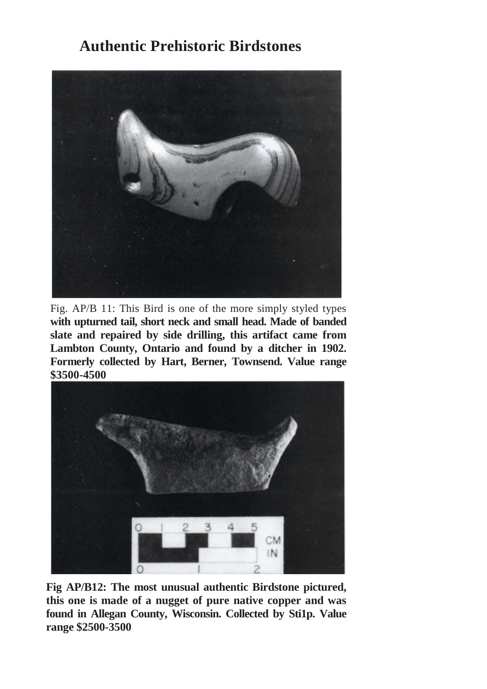

Fig. AP/B 11: This Bird is one of the more simply styled types **with upturned tail, short neck and small head. Made of banded slate and repaired by side drilling, this artifact came from Lambton County, Ontario and found by a ditcher in 1902. Formerly collected by Hart, Berner, Townsend. Value range \$3500-4500**



**Fig AP/B12: The most unusual authentic Birdstone pictured, this one is made of a nugget of pure native copper and was found in Allegan County, Wisconsin. Collected by Sti1p. Value range \$2500-3500**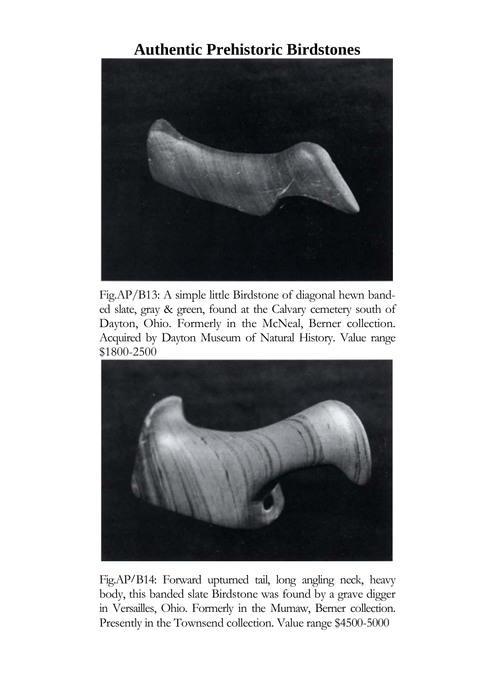

Fig.AP/B13: A simple little Birdstone of diagonal hewn banded slate, gray & green, found at the Calvary cemetery south of Dayton, Ohio. Formerly in the McNeal, Berner collection. Acquired by Dayton Museum of Natural History. Value range \$1800-2500



Fig.AP/B14: Forward upturned tail, long angling neck, heavy body, this banded slate Birdstone was found by a grave digger in Versailles, Ohio. Formerly in the Mumaw, Berner collection. Presently in the Townsend collection. Value range \$4500-5000